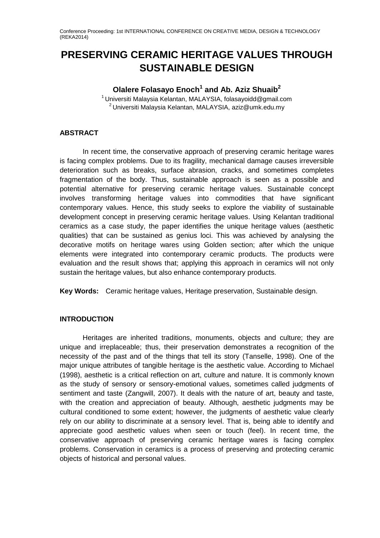# **PRESERVING CERAMIC HERITAGE VALUES THROUGH SUSTAINABLE DESIGN**

## **Olalere Folasayo Enoch<sup>1</sup> and Ab. Aziz Shuaib<sup>2</sup>**

 $1$ Universiti Malaysia Kelantan, MALAYSIA, folasayoidd@gmail.com  $2$ Universiti Malaysia Kelantan, MALAYSIA, aziz@umk.edu.my

## **ABSTRACT**

In recent time, the conservative approach of preserving ceramic heritage wares is facing complex problems. Due to its fragility, mechanical damage causes irreversible deterioration such as breaks, surface abrasion, cracks, and sometimes completes fragmentation of the body. Thus, sustainable approach is seen as a possible and potential alternative for preserving ceramic heritage values. Sustainable concept involves transforming heritage values into commodities that have significant contemporary values. Hence, this study seeks to explore the viability of sustainable development concept in preserving ceramic heritage values. Using Kelantan traditional ceramics as a case study, the paper identifies the unique heritage values (aesthetic qualities) that can be sustained as genius loci. This was achieved by analysing the decorative motifs on heritage wares using Golden section; after which the unique elements were integrated into contemporary ceramic products. The products were evaluation and the result shows that; applying this approach in ceramics will not only sustain the heritage values, but also enhance contemporary products.

**Key Words:** Ceramic heritage values, Heritage preservation, Sustainable design.

## **INTRODUCTION**

Heritages are inherited traditions, monuments, objects and culture; they are unique and irreplaceable; thus, their preservation demonstrates a recognition of the necessity of the past and of the things that tell its story (Tanselle, 1998). One of the major unique attributes of tangible heritage is the aesthetic value. According to Michael (1998), aesthetic is a critical reflection on art, culture and nature. It is commonly known as the study of sensory or sensory-emotional values, sometimes called judgments of sentiment and taste (Zangwill, 2007). It deals with the nature of art, beauty and taste, with the creation and appreciation of beauty. Although, aesthetic judgments may be cultural conditioned to some extent; however, the judgments of aesthetic value clearly rely on our ability to discriminate at a sensory level. That is, being able to identify and appreciate good aesthetic values when seen or touch (feel). In recent time, the conservative approach of preserving ceramic heritage wares is facing complex problems. Conservation in ceramics is a process of preserving and protecting ceramic objects of historical and personal values.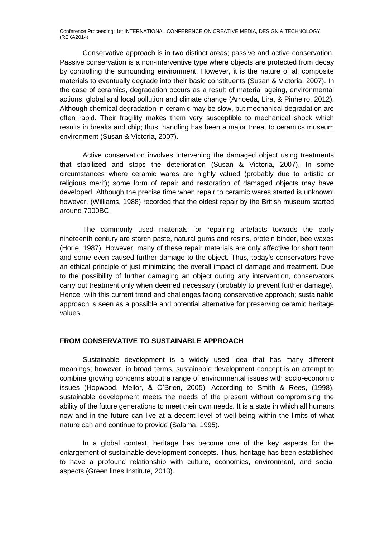Conservative approach is in two distinct areas; passive and active conservation. Passive conservation is a non-interventive type where objects are protected from decay by controlling the surrounding environment. However, it is the nature of all composite materials to eventually degrade into their basic constituents (Susan & Victoria, 2007). In the case of ceramics, degradation occurs as a result of material ageing, environmental actions, global and local pollution and climate change (Amoeda, Lira, & Pinheiro, 2012). Although chemical degradation in ceramic may be slow, but mechanical degradation are often rapid. Their fragility makes them very susceptible to mechanical shock which results in breaks and chip; thus, handling has been a major threat to ceramics museum environment (Susan & Victoria, 2007).

Active conservation involves intervening the damaged object using treatments that stabilized and stops the deterioration (Susan & Victoria, 2007). In some circumstances where ceramic wares are highly valued (probably due to artistic or religious merit); some form of repair and restoration of damaged objects may have developed. Although the precise time when repair to ceramic wares started is unknown; however, (Williams, 1988) recorded that the oldest repair by the British museum started around 7000BC.

The commonly used materials for repairing artefacts towards the early nineteenth century are starch paste, natural gums and resins, protein binder, bee waxes (Horie, 1987). However, many of these repair materials are only affective for short term and some even caused further damage to the object. Thus, today's conservators have an ethical principle of just minimizing the overall impact of damage and treatment. Due to the possibility of further damaging an object during any intervention, conservators carry out treatment only when deemed necessary (probably to prevent further damage). Hence, with this current trend and challenges facing conservative approach; sustainable approach is seen as a possible and potential alternative for preserving ceramic heritage values.

#### **FROM CONSERVATIVE TO SUSTAINABLE APPROACH**

Sustainable development is a widely used idea that has many different meanings; however, in broad terms, sustainable development concept is an attempt to combine growing concerns about a range of environmental issues with socio-economic issues (Hopwood, Mellor, & O'Brien, 2005). According to Smith & Rees, (1998), sustainable development meets the needs of the present without compromising the ability of the future generations to meet their own needs. It is a state in which all humans, now and in the future can live at a decent level of well-being within the limits of what nature can and continue to provide (Salama, 1995).

In a global context, heritage has become one of the key aspects for the enlargement of sustainable development concepts. Thus, heritage has been established to have a profound relationship with culture, economics, environment, and social aspects (Green lines Institute, 2013).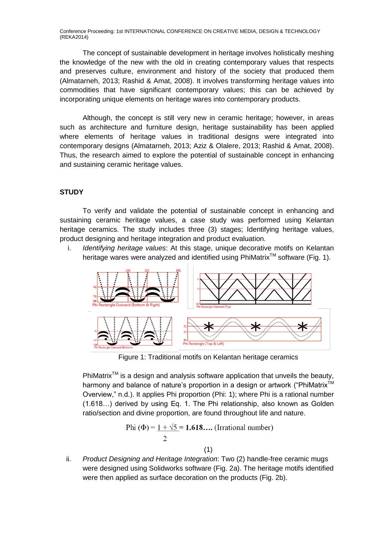The concept of sustainable development in heritage involves holistically meshing the knowledge of the new with the old in creating contemporary values that respects and preserves culture, environment and history of the society that produced them (Almatarneh, 2013; Rashid & Amat, 2008). It involves transforming heritage values into commodities that have significant contemporary values; this can be achieved by incorporating unique elements on heritage wares into contemporary products.

Although, the concept is still very new in ceramic heritage; however, in areas such as architecture and furniture design, heritage sustainability has been applied where elements of heritage values in traditional designs were integrated into contemporary designs (Almatarneh, 2013; Aziz & Olalere, 2013; Rashid & Amat, 2008). Thus, the research aimed to explore the potential of sustainable concept in enhancing and sustaining ceramic heritage values.

## **STUDY**

To verify and validate the potential of sustainable concept in enhancing and sustaining ceramic heritage values, a case study was performed using Kelantan heritage ceramics. The study includes three (3) stages; Identifying heritage values, product designing and heritage integration and product evaluation.

i. *Identifying heritage values*: At this stage, unique decorative motifs on Kelantan heritage wares were analyzed and identified using PhiMatrix™ software (Fig. 1).



Figure 1: Traditional motifs on Kelantan heritage ceramics

PhiMatrix<sup>TM</sup> is a design and analysis software application that unveils the beauty, harmony and balance of nature's proportion in a design or artwork ("PhiMatrix<sup>™</sup> Overview," n.d.). It applies Phi proportion (Phi: 1); where Phi is a rational number (1.618…) derived by using Eq. 1. The Phi relationship, also known as Golden ratio/section and divine proportion, are found throughout life and nature.

Phi (
$$
\Phi
$$
) = 1 +  $\sqrt{5}$  = 1.618.... (Irrational number)  
2

$$
(\mathbf{1})
$$

ii. *Product Designing and Heritage Integration*: Two (2) handle-free ceramic mugs were designed using Solidworks software (Fig. 2a). The heritage motifs identified were then applied as surface decoration on the products (Fig. 2b).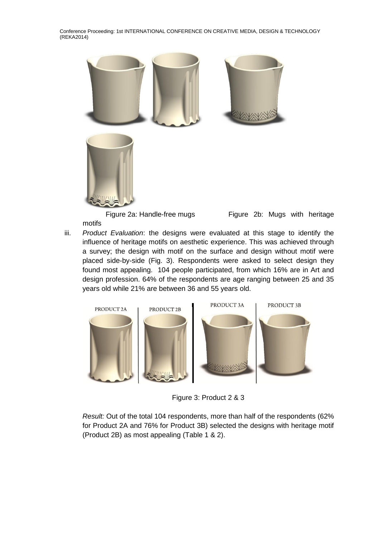

Figure 2a: Handle-free mugs Figure 2b: Mugs with heritage

motifs

iii. *Product Evaluation*: the designs were evaluated at this stage to identify the influence of heritage motifs on aesthetic experience. This was achieved through a survey; the design with motif on the surface and design without motif were placed side-by-side (Fig. 3). Respondents were asked to select design they found most appealing. 104 people participated, from which 16% are in Art and design profession. 64% of the respondents are age ranging between 25 and 35 years old while 21% are between 36 and 55 years old.



Figure 3: Product 2 & 3

*Result:* Out of the total 104 respondents, more than half of the respondents (62% for Product 2A and 76% for Product 3B) selected the designs with heritage motif (Product 2B) as most appealing (Table 1 & 2).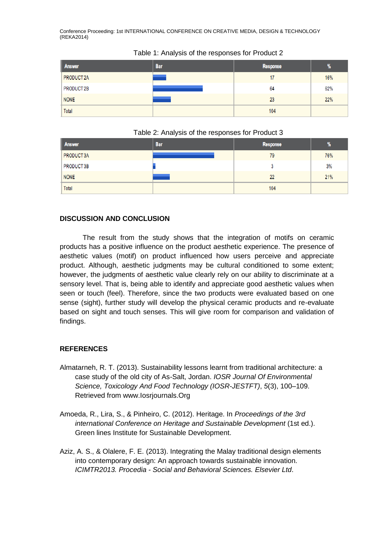| Answer      | <b>Bar</b> | <b>Response</b> | %   |
|-------------|------------|-----------------|-----|
| PRODUCT 2A  |            | 17              | 16% |
| PRODUCT 2B  |            | 64              | 62% |
| <b>NONE</b> |            | 23              | 22% |
| Total       |            | 104             |     |

#### Table 1: Analysis of the responses for Product 2

#### Table 2: Analysis of the responses for Product 3

| Answer      | <b>Bar</b> | Response | $\%$ |
|-------------|------------|----------|------|
| PRODUCT 3A  |            | 79       | 76%  |
| PRODUCT 3B  |            |          | 3%   |
| <b>NONE</b> |            | 22       | 21%  |
| Total       |            | 104      |      |

## **DISCUSSION AND CONCLUSION**

The result from the study shows that the integration of motifs on ceramic products has a positive influence on the product aesthetic experience. The presence of aesthetic values (motif) on product influenced how users perceive and appreciate product. Although, aesthetic judgments may be cultural conditioned to some extent; however, the judgments of aesthetic value clearly rely on our ability to discriminate at a sensory level. That is, being able to identify and appreciate good aesthetic values when seen or touch (feel). Therefore, since the two products were evaluated based on one sense (sight), further study will develop the physical ceramic products and re-evaluate based on sight and touch senses. This will give room for comparison and validation of findings.

## **REFERENCES**

- Almatarneh, R. T. (2013). Sustainability lessons learnt from traditional architecture: a case study of the old city of As-Salt, Jordan. *IOSR Journal Of Environmental Science, Toxicology And Food Technology (IOSR-JESTFT)*, *5*(3), 100–109. Retrieved from www.Iosrjournals.Org
- Amoeda, R., Lira, S., & Pinheiro, C. (2012). Heritage. In *Proceedings of the 3rd international Conference on Heritage and Sustainable Development* (1st ed.). Green lines Institute for Sustainable Development.
- Aziz, A. S., & Olalere, F. E. (2013). Integrating the Malay traditional design elements into contemporary design: An approach towards sustainable innovation. *ICIMTR2013. Procedia - Social and Behavioral Sciences. Elsevier Ltd*.